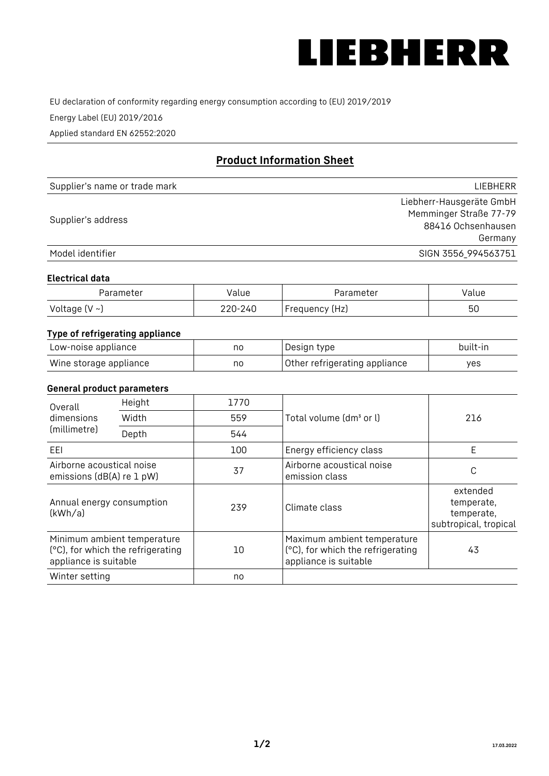

EU declaration of conformity regarding energy consumption according to (EU) 2019/2019

Energy Label (EU) 2019/2016

Applied standard EN 62552:2020

# **Product Information Sheet**

| Supplier's name or trade mark | LIEBHERR                 |
|-------------------------------|--------------------------|
|                               | Liebherr-Hausgeräte GmbH |
| Supplier's address            | Memminger Straße 77-79   |
|                               | 88416 Ochsenhausen       |
|                               | Germany                  |
| Model identifier              | SIGN 3556_994563751      |

### **Electrical data**

| Parameter     | Value          | Parameter         | alue/ |
|---------------|----------------|-------------------|-------|
| Voltage (V ~) | 220-:<br>، 240 | (Hz)<br>Frequency | 50    |

# **Type of refrigerating appliance**

| Low-noise appliance    | no | Design type                   | built-in |
|------------------------|----|-------------------------------|----------|
| Wine storage appliance | no | Other refrigerating appliance | ves      |

#### **General product parameters**

| Overall                                                | Height                                                           | 1770 |                                                                                           |                                                               |
|--------------------------------------------------------|------------------------------------------------------------------|------|-------------------------------------------------------------------------------------------|---------------------------------------------------------------|
| dimensions                                             | Width                                                            | 559  | Total volume (dm <sup>3</sup> or l)                                                       | 216                                                           |
| (millimetre)<br>Depth                                  |                                                                  | 544  |                                                                                           |                                                               |
| EEL                                                    |                                                                  | 100  | Energy efficiency class                                                                   | E                                                             |
| Airborne acoustical noise<br>emissions (dB(A) re 1 pW) |                                                                  | 37   | Airborne acoustical noise<br>emission class                                               | C                                                             |
| Annual energy consumption<br>(kWh/a)                   |                                                                  | 239  | Climate class                                                                             | extended<br>temperate,<br>temperate,<br>subtropical, tropical |
| appliance is suitable                                  | Minimum ambient temperature<br>(°C), for which the refrigerating | 10   | Maximum ambient temperature<br>(°C), for which the refrigerating<br>appliance is suitable | 43                                                            |
| Winter setting                                         |                                                                  | no   |                                                                                           |                                                               |